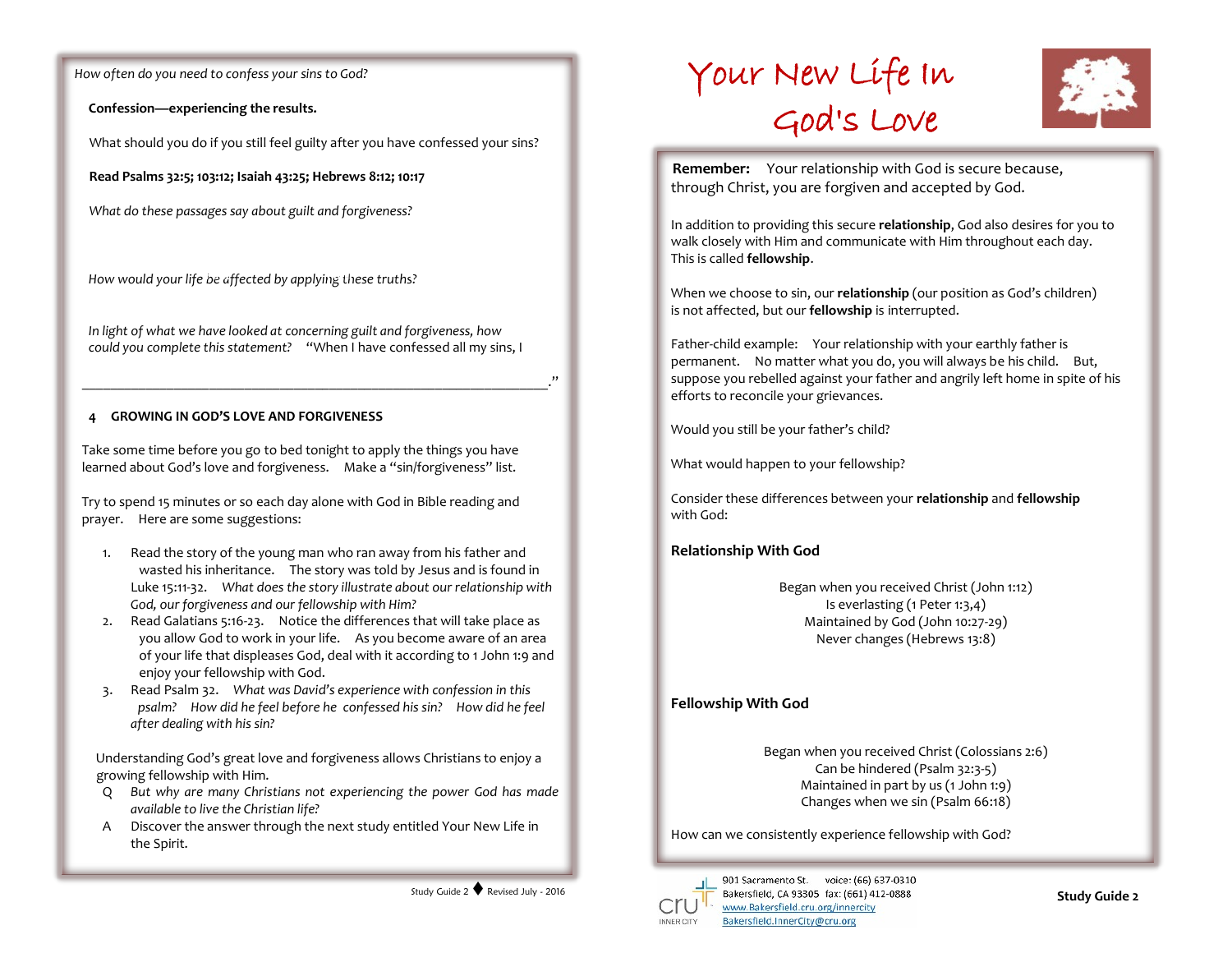*How often do you need to confess your sins to God?*

**Confession—experiencing the results.**

What should you do if you still feel guilty after you have confessed your sins?

**Read Psalms 32:5; 103:12; Isaiah 43:25; Hebrews 8:12; 10:17**

*What do these passages say about guilt and forgiveness?*

*How would your life be affected by applying these truths?* **Fact Faith Feelings**

*In light of what we have looked at concerning guilt and forgiveness, how could you complete this statement?* "When I have confessed all my sins, I

\_\_\_\_\_\_\_\_\_\_\_\_\_\_\_\_\_\_\_\_\_\_\_\_\_\_\_\_\_\_\_\_\_\_\_\_\_\_\_\_\_\_\_\_\_\_\_\_\_\_\_\_\_\_\_\_\_\_\_\_\_\_\_\_\_\_."

#### **4 GROWING IN GOD'S LOVE AND FORGIVENESS**

Take some time before you go to bed tonight to apply the things you have learned about God's love and forgiveness. Make a "sin/forgiveness" list.

Try to spend 15 minutes or so each day alone with God in Bible reading and prayer. Here are some suggestions:

- 1. Read the story of the young man who ran away from his father and wasted his inheritance. The story was told by Jesus and is found in Luke 15:11-32. *What does the story illustrate about our relationship with God, our forgiveness and our fellowship with Him?*
- 2. Read Galatians 5:16-23. Notice the differences that will take place as you allow God to work in your life. As you become aware of an area of your life that displeases God, deal with it according to 1 John 1:9 and enjoy your fellowship with God.
- 3. Read Psalm 32. *What was David's experience with confession in this psalm? How did he feel before he confessed his sin? How did he feel after dealing with his sin?*

Understanding God's great love and forgiveness allows Christians to enjoy a growing fellowship with Him.

- Q *But why are many Christians not experiencing the power God has made available to live the Christian life?*
- A Discover the answer through the next study entitled Your New Life in the Spirit.





**Remember:** Your relationship with God is secure because, through Christ, you are forgiven and accepted by God.

In addition to providing this secure **relationship**, God also desires for you to walk closely with Him and communicate with Him throughout each day. This is called **fellowship**.

When we choose to sin, our **relationship** (our position as God's children) is not affected, but our **fellowship** is interrupted.

Father-child example: Your relationship with your earthly father is permanent. No matter what you do, you will always be his child. But, suppose you rebelled against your father and angrily left home in spite of his efforts to reconcile your grievances.

Would you still be your father's child?

What would happen to your fellowship?

Consider these differences between your **relationship** and **fellowship** with God:

## **Relationship With God**

Began when you received Christ (John 1:12) Is everlasting (1 Peter 1:3,4) Maintained by God (John 10:27-29) Never changes (Hebrews 13:8)

## **Fellowship With God**

Began when you received Christ (Colossians 2:6) Can be hindered (Psalm 32:3-5) Maintained in part by us (1 John 1:9) Changes when we sin (Psalm 66:18)

How can we consistently experience fellowship with God?